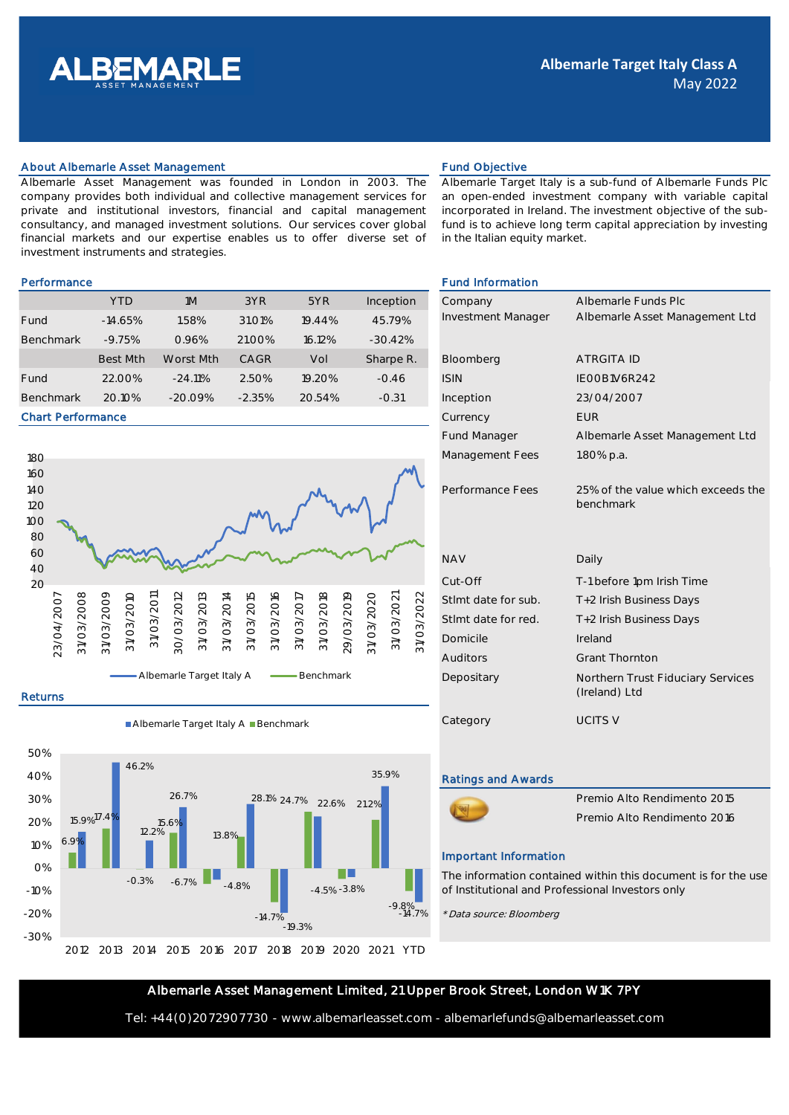

## About Albemarle Asset Management Fund Objective Fund Objective

Albemarle Asset Management was founded in London in 2003. The company provides both individual and collective management services for private and institutional investors, financial and capital management consultancy, and managed investment solutions. Our services cover global financial markets and our expertise enables us to offer diverse set of investment instruments and strategies.

Albemarle Target Italy is a sub-fund of Albemarle Funds Plc an open-ended investment company with variable capital incorporated in Ireland. The investment objective of the subfund is to achieve long term capital appreciation by investing in the Italian equity market.

|                  | <b>YTD</b>      | 1M        | 3YR                | 5YR    | Inception | Company            | Albemarle Fun     |
|------------------|-----------------|-----------|--------------------|--------|-----------|--------------------|-------------------|
| Fund             | $-14.65%$       | 1.58%     | 31.01 <sup>%</sup> | 19.44% | 45.79%    | Investment Manager | Albemarle Ass     |
| <b>Benchmark</b> | $-9.75%$        | 0.96%     | 21.00%             | 16.12% | $-30.42%$ |                    |                   |
|                  | <b>Best Mth</b> | Worst Mth | CAGR               | Vol    | Sharpe R. | Bloomberg          | <b>ATRGITA ID</b> |
| Fund             | 22.00%          | $-24.11%$ | 2.50%              | 19.20% | $-0.46$   | <b>ISIN</b>        | IEOOB1V6R242      |
| <b>Benchmark</b> | 20.10%          | $-20.09%$ | $-2.35%$           | 20.54% | $-0.31$   | Inception          | 23/04/2007        |

### Chart Performance



### Returns

Albemarle Target Italy A Benchmark



# Performance **Fund Information Fund Information**

| Company                   | Albemarle Funds Plc                                |  |  |
|---------------------------|----------------------------------------------------|--|--|
| <b>Investment Manager</b> | Albemarle Asset Management Ltd                     |  |  |
|                           |                                                    |  |  |
| Bloomberg                 | <b>ATRGITA ID</b>                                  |  |  |
| <b>ISIN</b>               | IFOOB1V6R242                                       |  |  |
| Inception                 | 23/04/2007                                         |  |  |
| Currency                  | <b>FUR</b>                                         |  |  |
| <b>Fund Manager</b>       | Albemarle Asset Management Ltd                     |  |  |
| Management Fees           | 1.80% p.a.                                         |  |  |
|                           |                                                    |  |  |
| Performance Fees          | 25% of the value which exceeds the<br>benchmark    |  |  |
|                           |                                                    |  |  |
|                           |                                                    |  |  |
| <b>NAV</b>                | Daily                                              |  |  |
| Cut-Off                   | T-1 before 1pm Irish Time                          |  |  |
| Stimt date for sub.       | T+2 Irish Business Days                            |  |  |
| Stimt date for red.       | T+2 Irish Business Days                            |  |  |
| Domicile                  | Ireland                                            |  |  |
| Auditors                  | <b>Grant Thornton</b>                              |  |  |
| Depositary                | Northern Trust Fiduciary Services<br>(Ireland) Ltd |  |  |
| Category                  | <b>UCITS V</b>                                     |  |  |

### Ratings and Awards



### Important Information

The information contained within this document is for the use of Institutional and Professional Investors only

\* Data source: Bloomberg

## Albemarle Asset Management Limited, 21 Upper Brook Street, London W1K 7PY

Tel: +44(0)2072907730 - www.albemarleasset.com - albemarlefunds@albemarleasset.com